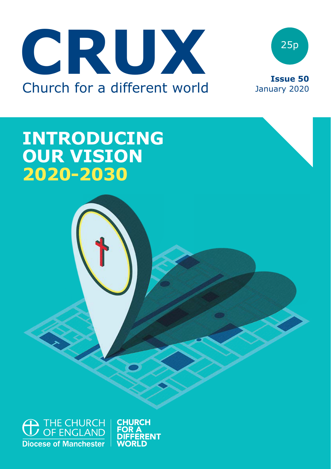



# **INTRODUCING OUR VISION 2020-2030**



**CHURCH**<br>FOR A **WORLD**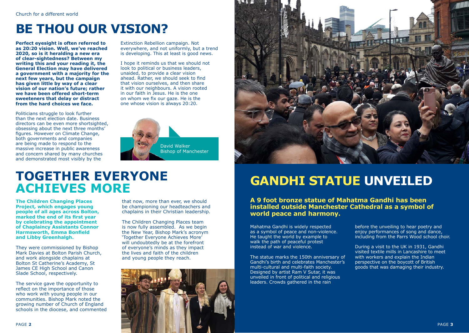# **BE THOU OUR VISION?**

**Perfect eyesight is often referred to as 20:20 vision. Well, we've reached 2020, so is it heralding a new era of clear-sightedness? Between my writing this and your reading it, the General Election may have delivered a government with a majority for the next few years, but the campaign has given little by way of a clear vision of our nation's future; rather we have been offered short-term sweeteners that delay or distract from the hard choices we face.**

Politicians struggle to look further than the next election date. Business directors can be even more shortsighted, obsessing about the next three months' figures. However on Climate Change, both governments and companies are being made to respond to the massive increase in public awareness and concern shared by many churches and demonstrated most visibly by the

Extinction Rebellion campaign. Not everywhere, and not uniformly, but a trend is developing. This at least is good news.

I hope it reminds us that we should not look to political or business leaders, unaided, to provide a clear vision ahead. Rather, we should seek to find that vision ourselves, and then share it with our neighbours. A vision rooted in our faith in Jesus. He is the one on whom we fix our gaze. He is the one whose vision is always 20:20.





# **TOGETHER EVERYONE ACHIEVES MORE**

**The Children Changing Places Project, which engages young people of all ages across Bolton, marked the end of its first year by celebrating the appointment of Chaplaincy Assistants Connor Harmsworth, Emma Bonfield and Libby Greenhalgh.** 

They were commissioned by Bishop Mark Davies at Bolton Parish Church, and work alongside chaplains at Bolton St Catherine's Academy, St James CE High School and Canon Slade School, respectively.

The service gave the opportunity to reflect on the importance of those who work with young people in our communities. Bishop Mark noted the growing number of Church of England schools in the diocese, and commented that now, more than ever, we should be championing our headteachers and chaplains in their Christian leadership.

The Children Changing Places team is now fully assembled. As we begin the New Year, Bishop Mark's acronym 'Together Everyone Achieves More' will undoubtedly be at the forefront of everyone's minds as they impact the lives and faith of the children and young people they reach.



# **GANDHI STATUE UNVEILED**

**A 9 foot bronze statue of Mahatma Gandhi has been installed outside Manchester Cathedral as a symbol of world peace and harmony.**

Mahatma Gandhi is widely respected as a symbol of peace and non-violence. He taught the world by example to walk the path of peaceful protest instead of war and violence.

The statue marks the 150th anniversary of Gandhi's birth and celebrates Manchester's multi-cultural and multi-faith society. Designed by artist Ram V Sutar, it was unveiled in front of political and religious leaders. Crowds gathered in the rain

before the unveiling to hear poetry and enjoy performances of song and dance, including from the Parrs Wood school choir.

During a visit to the UK in 1931, Gandhi visited textile mills in Lancashire to meet with workers and explain the Indian perspective on the boycott of British goods that was damaging their industry.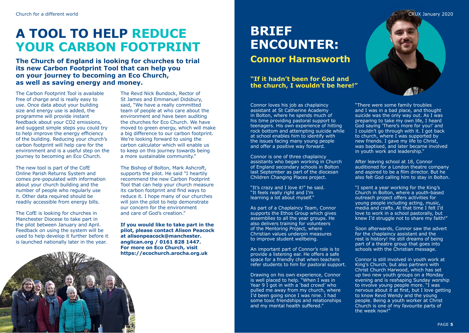# **A TOOL TO HELP REDUCE YOUR CARBON FOOTPRINT**

**The Church of England is looking for churches to trial its new Carbon Footprint Tool that can help you on your journey to becoming an Eco Church, as well as saving energy and money.**

The Carbon Footprint Tool is available free of charge and is really easy to use. Once data about your building size and energy use is added, the programme will provide instant feedback about your CO2 emissions, and suggest simple steps you could try to help improve the energy efficiency of the building. Reducing your church's carbon footprint will help care for the environment and is a useful step on the journey to becoming an Eco Church.

The new tool is part of the CofE Online Parish Returns System and comes pre-populated with information about your church building and the number of people who regularly use it. Other data required should be readily accessible from energy bills.

The CofE is looking for churches in Manchester Diocese to take part in the pilot between January and April. Feedback on using the system will be used to help develop it further before it is launched nationally later in the year.



The Revd Nick Bundock, Rector of St James and Emmanuel Didsbury, said, "We have a really committed team of people at who care about the environment and have been auditing the churches for Eco Church. We have moved to green energy, which will make a big difference to our carbon footprint. We're looking forward to using the carbon calculator which will enable us to keep on this journey towards being a more sustainable community."

The Bishop of Bolton, Mark Ashcroft, supports the pilot. He said "I heartily recommend the new Carbon Footprint Tool that can help your church measure its carbon footprint and find ways to reduce it. I hope many of our churches will join the pilot to help demonstrate our concern for the environment and care of God's creation."

**If you would like to take part in the pilot, please contact Alison Peacock at [alisonpeacock@manchester.](mailto:alisonpeacock@manchester.anglican.org) [anglican.org](mailto:alisonpeacock@manchester.anglican.org) / 0161 828 1447. For more on Eco Church, visit [https://ecochurch.arocha.org.uk](https://ecochurch.arocha.org.uk/)**

## **BRIEF ENCOUNTER: Connor Harmsworth**

**"If it hadn't been for God and the church, I wouldn't be here!"**

Connor loves his job as chaplaincy assistant at St Catherine Academy in Bolton, where he spends much of his time providing pastoral support to teenagers. His own experience of hitting rock bottom and attempting suicide while at school enables him to identify with the issues facing many young people and offer a positive way forward.

Connor is one of three chaplaincy assistants who began working in Church of England secondary schools in Bolton last September as part of the diocesan Children Changing Places project.

"It's crazy and I love it!" he said. "It feels really right and I'm learning a lot about myself."

As part of a Chaplaincy Team, Connor supports the Ethos Group which gives assemblies to all the year groups. He also delivers training for volunteers of the Mentoring Project, where Christian values underpin measures to improve student wellbeing.

An important part of Connor's role is to provide a listening ear. He offers a safe space for a friendly chat when teachers refer students to him for pastoral support.

Drawing on his own experience, Connor is well placed to help. "When I was in Year 9 I got in with a 'bad crowd' who pulled me away from my church, where I'd been going since I was nine. I had some toxic friendships and relationships and my mental health suffered."



"There were some family troubles and I was in a bad place, and thought suicide was the only way out. As I was preparing to take my own life, I heard God saying 'There's more for you!' and I couldn't go through with it. I got back to church, where I was supported by new friends. I gave my life to Christ, was baptised, and later became involved in youth work and leadership."

After leaving school at 18, Connor auditioned for a London theatre company and aspired to be a film director. But he also felt God calling him to stay in Bolton.

"I spent a year working for the King's Church in Bolton, where a youth-based outreach project offers activities for young people including acting, music, media and crafts. At that time I felt I'd love to work in a school pastorally, but knew I'd struggle not to share my faith!"

Soon afterwards, Connor saw the advert for the chaplaincy assistant and the rest is history! He still dreams of being part of a theatre group that goes into schools with the Christian message.

Connor is still involved in youth work at King's Church, but also partners with Christ Church Harwood, which has set up two new youth groups on a Monday evening and is reshaping Sunday worship to involve young people more. "I was nervous about it at first, but I love getting to know Revd Wendy and the young people. Being a youth worker at Christ Church is one of my favourite parts of the week now!"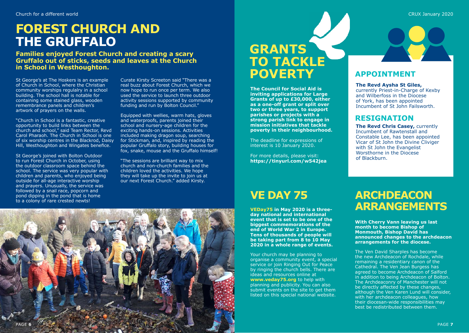# **FOREST CHURCH AND THE GRUFFALO**

**Families enjoyed Forest Church and creating a scary Gruffalo out of sticks, seeds and leaves at the Church in School in Westhoughton.**

St George's at The Hoskers is an example of Church in School, where the Christian community worships regulalry in a school building. The school hall is notable for containing some stained glass, wooden remembrance panels and children's artwork of prayers on the walls.

"Church in School is a fantastic, creative opportunity to build links between the church and school," said Team Rector, Revd Carol Pharaoh. The Church in School is one of six worship centres in the Blackrod, Daisy Hill, Westhoughton and Wingates benefice.

St George's joined with Bolton Outdoor to run Forest Church in October, using the outdoor classroom space behind the school. The service was very popular with children and parents, who enjoyed being outside for all-age interactive worship and prayers. Unusually, the service was followed by a snail race, popcorn and pond dipping in the pond that is home to a colony of rare crested newts!

Curate Kirsty Screeton said "There was a real buzz about Forest Church, which we now hope to run once per term. We also used the service to launch three outdoor activity sessions supported by community funding and run by Bolton Council."

Equipped with wellies, warm hats, gloves and waterproofs, parents joined their school and nursery-age children for the exciting hands-on sessions. Activities included making dragon soup, searching for Stickman, and, inspired by reading the popular Gruffalo story, building houses for fox, snake, mouse and the Gruffalo himself!

"The sessions are brilliant way to mix church and non-church families and the children loved the activities. We hope they will take up the invite to join us at our next Forest Church." added Kirsty.



**The Council for Social Aid is inviting applications for Large Grants of up to £30,000, either as a one-off grant or split over two or three years, to support parishes or projects with a strong parish link to engage in mission initiatives that tackle poverty in their neighbourhood.**

The deadline for expressions of interest is 10 January 2020.

For more details, please visit: **https://tinyurl.com/w542jea**

#### **APPOINTMENT**

**The Revd Aysha St Giles,**

currently Priest-in-Charge of Kexby and Wilberfoss in the Diocese of York, has been appointed Incumbent of St John Failsworth.

#### **RESIGNATION**

**The Revd Chris Casey,** currently Incumbent of Rawtenstall and Constable Lee, has been appointed Vicar of St John the Divine Cliviger with St John the Evangelist Worsthorne in the Diocese of Blackburn.

**VEDay75 in May 2020 is a threeday national and international event that is set to be one of the biggest commemorations of the end of World War 2 in Europe. Tens of thousands of people will be taking part from 8 to 10 May 2020 in a whole range of events.**

Your church may be planning to organise a community event, a special service or join Ringing Out for Peace by ringing the church bells. There are ideas and resources online at **www.veday75.org** to help with planning and publicity. You can also submit events on the site to get them listed on this special national website.

## **VE DAY 75 ARCHDEACON ARRANGEMENTS**

**With Cherry Vann leaving us last month to become Bishop of Monmouth, Bishop David has announced changes to the archdeacon arrangements for the diocese.**

The Ven David Sharples has become the new Archdeacon of Rochdale, while remaining a residentiary canon of the Cathedral. The Ven Jean Burgess has agreed to become Archdeacon of Salford in addition to being Archdeacon of Bolton. The Archdeaconry of Manchester will not be directly affected by these changes, although the Ven Karen Lund will consider, with her archdeacon colleagues, how their diocesan-wide responsibilities may best be redistributed between them.

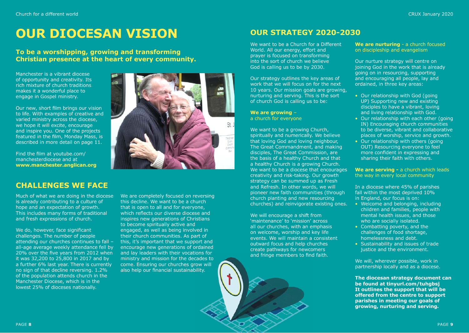# **OUR DIOCESAN VISION**

#### **To be a worshipping, growing and transforming Christian presence at the heart of every community.**

Manchester is a vibrant diocese of opportunity and creativity. Its rich mixture of church traditions makes it a wonderful place to engage in Gospel ministry.

Our new, short film brings our vision to life. With examples of creative and varied ministry across the diocese, we hope it will excite, encourage and inspire you. One of the projects featured in the film, Monday Mass, is described in more detail on page 11.

Find the film at youtube.com/ manchesterdiocese and at **www.manchester.anglican.org**

#### **CHALLENGES WE FACE**

Much of what we are doing in the diocese is already contributing to a culture of hope and an expectation of growth. This includes many forms of traditional and fresh expressions of church.

We do, however, face significant challenges. The number of people attending our churches continues to fall – all-age average weekly attendance fell by 20% over the five years from 2012 when it was 32,200 to 25,800 in 2017 and by a further 6% last year. There is currently no sign of that decline reversing. 1.2% of the population attends church in the Manchester Diocese, which is in the lowest 25% of dioceses nationally.

We are completely focused on reversing this decline. We want to be a church that is open to all and for everyone, which reflects our diverse diocese and inspires new generations of Christians to become spiritually active and engaged, as well as being involved in their church communities. As part of this, it's important that we support and encourage new generations of ordained and lay leaders with their vocations for ministry and mission for the decades to come. Ensuring our churches grow will also help our financial sustainability.



We want to be a Church for a Different World. All our energy, effort and prayer is focused on transforming into the sort of church we believe God is calling us to be by 2030.

Our strategy outlines the key areas of work that we will focus on for the next 10 years. Our mission goals are growing, nurturing and serving. This is the sort of church God is calling us to be:

#### **We are growing** – a church for everyone

We want to be a growing Church, spiritually and numerically. We believe that loving God and loving neighbour, The Great Commandment, and making disciples, The Great Commission, are the basis of a healthy Church and that a healthy Church is a growing Church. We want to be a diocese that encourages creativity and risk-taking. Our growth strategy can be summed up as Fresh and Refresh. In other words, we will pioneer new faith communities (through church planting and new resourcing churches) and reinvigorate existing ones.

We will encourage a shift from 'maintenance' to 'mission' across all our churches, with an emphasis on welcome, worship and key life events. We will maintain a consistent outward focus and help churches create pathways for newcomers and fringe members to find faith.

We are nurturing - a church focused on discipleship and evangelism

Our nurture strategy will centre on joining God in the work that is already going on in resourcing, supporting and encouraging all people, lay and ordained, in three key areas:

- Our relationship with God (going UP) Supporting new and existing disciples to have a vibrant, loving and living relationship with God.
- Our relationship with each other (going IN) Encouraging church communities to be diverse, vibrant and collaborative places of worship, service and growth.
- Our relationship with others (going OUT) Resourcing everyone to feel more confident in expressing and sharing their faith with others.

**We are serving -** a church which leads the way in every local community

In a diocese where 45% of parishes fall within the most deprived 10% in England, our focus is on:

- Welcome and belonging, including children and families, people with mental health issues, and those who are socially isolated.
- Combatting poverty, and the challenges of food shortage, homelessness and debt.
- Sustainability and issues of trade justice and the environment.

We will, wherever possible, work in partnership locally and as a diocese.

**The diocesan strategy document can be found at tinyurl.com/tuhgbsj It outlines the support that will be offered from the centre to support parishes in meeting our goals of growing, nurturing and serving.**

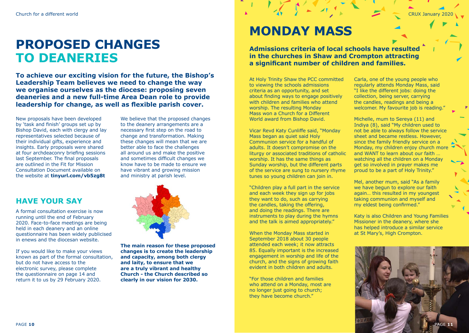# **PROPOSED CHANGES TO DEANERIES**

**To achieve our exciting vision for the future, the Bishop's Leadership Team believes we need to change the way we organise ourselves as the diocese: proposing seven deaneries and a new full-time Area Dean role to provide leadership for change, as well as flexible parish cover.**

New proposals have been developed by 'task and finish' groups set up by Bishop David, each with clergy and lay representatives selected because of their individual gifts, experience and insights. Early proposals were shared at four archdeaconry briefing sessions last September. The final proposals are outlined in the Fit for Mission Consultation Document available on the website at **tinyurl.com/vb5zg8t**

We believe that the proposed changes to the deanery arrangements are a necessary first step on the road to change and transformation. Making these changes will mean that we are better able to face the challenges all around us and make the positive and sometimes difficult changes we know have to be made to ensure we have vibrant and growing mission and ministry at parish level.

#### **HAVE YOUR SAY**

A formal consultation exercise is now running until the end of February 2020. Face-to-face meetings are being held in each deanery and an online questionnaire has been widely publicised in enews and the diocesan website.

If you would like to make your views known as part of the formal consultation, but do not have access to the electronic survey, please complete the questionnaire on page 14 and return it to us by 29 February 2020.



**The main reason for these proposed changes is to create the leadership and capacity, among both clergy and laity, to ensure that we are a truly vibrant and healthy Church - the Church described so clearly in our vision for 2030.**

# **MONDAY MASS**

**Admissions criteria of local schools have resulted in the churches in Shaw and Crompton attracting a significant number of children and families.**

At Holy Trinity Shaw the PCC committed to viewing the schools admissions criteria as an opportunity, and set about finding ways to engage positively with children and families who attend worship. The resulting Monday Mass won a Church for a Different World award from Bishop David.

Vicar Revd Katy Cunliffe said, "Monday Mass began as quiet said Holy Communion service for a handful of adults. It doesn't compromise on the liturgy or associated traditions of catholic worship. It has the same things as Sunday worship, but the different parts of the service are sung to nursery rhyme tunes so young children can join in.

"Children play a full part in the service and each week they sign up for jobs they want to do, such as carrying the candles, taking the offering, and doing the readings. There are instruments to play during the hymns and the talk is aimed appropriately."

When the Monday Mass started in September 2018 about 30 people attended each week; it now attracts 85. Equally important is the increased engagement in worship and life of the church, and the signs of growing faith evident in both children and adults.

"For those children and families who attend on a Monday, most are no longer just going to church; they have become church."

Carla, one of the young people who regularly attends Monday Mass, said "I like the different jobs: doing the collection, being server, carrying the candles, readings and being a welcomer. My favourite job is reading."

Michelle, mum to Sereya (11) and Indiya (8), said "My children used to not be able to always follow the service sheet and became restless. However, since the family friendly service on a Monday, my children enjoy church more and WANT to learn about our faith … watching all the children on a Monday get so involved in prayer makes me proud to be a part of Holy Trinity."

Mel, another mum, said "As a family we have begun to explore our faith again… this resulted in my youngest taking communion and myself and my eldest being confirmed."

Katy is also Children and Young Families Missioner in the deanery, where she has helped introduce a similar service at St Mary's, High Crompton.

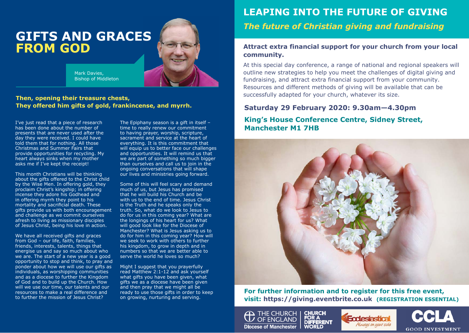# **GIFTS AND GRACES FROM GOD**

Mark Davies, Bishop of Middleton

#### **Then, opening their treasure chests, They offered him gifts of gold, frankincense, and myrrh.**

I've just read that a piece of research has been done about the number of presents that are never used after the day they were received. I could have told them that for nothing. All those Christmas and Summer Fairs that provide opportunities for recycling. My heart always sinks when my mother asks me if I've kept the receipt!

This month Christians will be thinking about the gifts offered to the Christ child by the Wise Men. In offering gold, they proclaim Christ's kingship; in offering incense they adore his Godhead and in offering myrrh they point to his mortality and sacrificial death. These gifts provide us with both encouragement and challenge as we commit ourselves afresh to living as missionary disciples of Jesus Christ, being his love in action.

We have all received gifts and graces from God – our life, faith, families, friends, interests, talents, things that energise us and say so much about who we are. The start of a new year is a good opportunity to stop and think, to pray and ponder about how we will use our gifts as individuals, as worshipping communities and as a diocese to further the Kingdom of God and to build up the Church. How will we use our time, our talents and our resources to make a real difference and to further the mission of Jesus Christ?

The Epiphany season is a gift in itself – time to really renew our commitment to having prayer, worship, scripture, sacrament and service at the heart of everything. It is this commitment that will equip us to better face our challenges and opportunities. It will remind us that we are part of something so much bigger than ourselves and call us to join in the ongoing conversations that will shape our lives and ministries going forward.

Some of this will feel scary and demand much of us, but Jesus has promised that he will build his Church and be with us to the end of time. Jesus Christ is the Truth and he speaks only the truth. So, what do we look to Jesus to do for us in this coming year? What are the longings of his heart for us? What will good look like for the Diocese of Manchester? What is Jesus asking us to do for him in this coming year? How will we seek to work with others to further his kingdom, to grow in depth and in numbers so that we are better able to serve the world he loves so much?

Might I suggest that you prayerfully read Matthew 2:1-12 and ask yourself what gifts you have been given, what gifts we as a diocese have been given and then pray that we might all be ready to use those gifts in order to keep on growing, nurturing and serving.

## **LEAPING INTO THE FUTURE OF GIVING LEAPING INTO THE FUTURE OF GIVING**

*The future of Christian giving and fundraising The future of Christian giving and fundraising* 

#### **Attract extra financial support for your church from your local Attract extra financial support for your church from your local community. community.**

At this special day conference, a range of national and regional speakers will At this special day conference, a range of national and regional speakers will outline new strategies to help you meet the challenges of digital giving and outline new strategies to help you meet the challenges of digital giving and fundraising, and attract extra financial support from your community. fundraising, and attract extra financial support from your community. Resources and different methods of giving will be available that can be Resources and different methods of giving will be available that can be successfully adapted for your church, whatever its size. successfully adapted for your church, whatever its size.

#### **Saturday 29 February 2020: 9.30am—4.30pm Saturday 29 February 2020: 9.30am—4.30pm**

#### **King's House Conference Centre, Sidney Street, King's House Conference Centre, Sidney Street, Manchester M1 7HB Manchester M1 7HB**



**For further information and to register for this free event, For further information and to register for this free event, visit: https://giving.eventbrite.co.uk (REGISTRATION ESSENTIAL) visit: https://giving.eventbrite.co.uk**





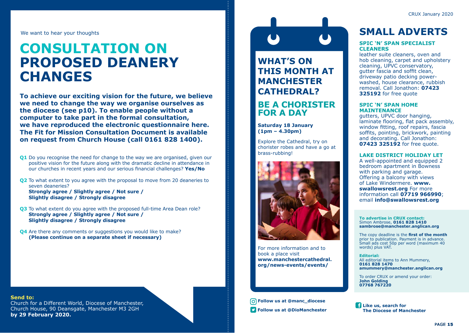We want to hear your thoughts

# **CONSULTATION ON PROPOSED DEANERY CHANGES**

**To achieve our exciting vision for the future, we believe we need to change the way we organise ourselves as the diocese (see p10). To enable people without a computer to take part in the formal consultation, we have reproduced the electronic questionnaire here. The Fit for Mission Consultation Document is available on request from Church House (call 0161 828 1400).**

**Q1** Do you recognise the need for change to the way we are organised, given our positive vision for the future along with the dramatic decline in attendance in our churches in recent years and our serious financial challenges? **Yes/No**

**Q2** To what extent to you agree with the proposal to move from 20 deaneries to seven deaneries? **Strongly agree / Slightly agree / Not sure / Slightly disagree / Strongly disagree**

- **Q3** To what extent do you agree with the proposed full-time Area Dean role? **Strongly agree / Slightly agree / Not sure / Slightly disagree / Strongly disagree**
- **Q4** Are there any comments or suggestions you would like to make? **(Please continue on a separate sheet if necessary)**

#### **Send to:**

Church for a Different World, Diocese of Manchester, Church House, 90 Deansgate, Manchester M3 2GH **by 29 February 2020.**

# **WHAT'S ON**

**THIS MONTH AT MANCHESTER CATHEDRAL?**

#### **BE A CHORISTER FOR A DAY**

**Saturday 18 January (1pm – 4.30pm)**

Explore the Cathedral, try on chorister robes and have a go at brass-rubbing!



For more information and to book a place visit **[www.manchestercathedral.](http://www.manchestercathedral.org/news-events/events/) [org/news-events/events/](http://www.manchestercathedral.org/news-events/events/)**

 **Follow us at @manc\_diocese**

### **SMALL ADVERTS**

#### **SPIC 'N' SPAN SPECIALIST CLEANERS**

leather suite cleaners, oven and hob cleaning, carpet and upholstery cleaning, UPVC conservatory, gutter fascia and soffit clean, driveway patio decking powerwashed, house clearance, rubbish removal. Call Jonathon: **07423 325192** for free quote

#### **SPIC 'N' SPAN HOME MAINTENANCE**

gutters, UPVC door hanging, laminate flooring, flat pack assembly, window fitting, roof repairs, fascia soffits, pointing, brickwork, painting and decorating. Call Jonathon: **07423 325192** for free quote.

#### **LAKE DISTRICT HOLIDAY LET**

A well-appointed and equipped 2 bedroom apartment in Bowness with parking and garage. Offering a balcony with views of Lake Windermere. **[www.](http://www.swallowsrest.org) [swallowsrest.org](http://www.swallowsrest.org)** For more information call **07719 966990**; email **[info@swallowsrest.org](mailto:info@swallowsrest.org)**

#### **To advertise in CRUX contact:** Simon Ambrose, **0161 828 1410 sambrose@manchester.anglican.org**

The copy deadline is the **first of the month** prior to publication. Payment is in advance. Small ads cost 50p per word (maximum 40 words) plus VAT.

**Editorial:** All editorial items to Ann Mummery, **0161 828 1470 amummery@manchester.anglican.org**

To order CRUX or amend your order: **John Golding 07768 767220**

**Like us, search for Follow us at @DioManchester The Diocese of Manchester**